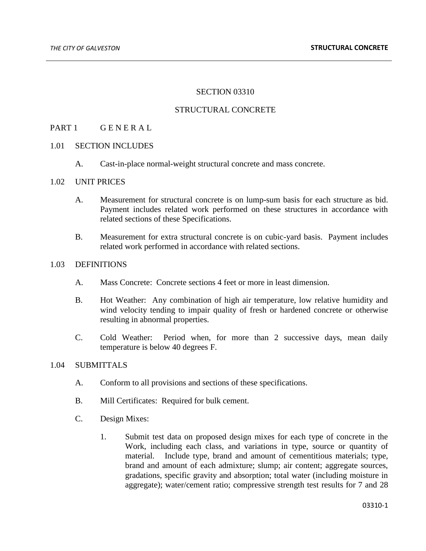## SECTION 03310

## STRUCTURAL CONCRETE

## PART 1 GENERAL

## 1.01 SECTION INCLUDES

A. Cast-in-place normal-weight structural concrete and mass concrete.

#### 1.02 UNIT PRICES

- A. Measurement for structural concrete is on lump-sum basis for each structure as bid. Payment includes related work performed on these structures in accordance with related sections of these Specifications.
- B. Measurement for extra structural concrete is on cubic-yard basis. Payment includes related work performed in accordance with related sections.

## 1.03 DEFINITIONS

- A. Mass Concrete: Concrete sections 4 feet or more in least dimension.
- B. Hot Weather: Any combination of high air temperature, low relative humidity and wind velocity tending to impair quality of fresh or hardened concrete or otherwise resulting in abnormal properties.
- C. Cold Weather: Period when, for more than 2 successive days, mean daily temperature is below 40 degrees F.

## 1.04 SUBMITTALS

- A. Conform to all provisions and sections of these specifications.
- B. Mill Certificates: Required for bulk cement.
- C. Design Mixes:
	- 1. Submit test data on proposed design mixes for each type of concrete in the Work, including each class, and variations in type, source or quantity of material. Include type, brand and amount of cementitious materials; type, brand and amount of each admixture; slump; air content; aggregate sources, gradations, specific gravity and absorption; total water (including moisture in aggregate); water/cement ratio; compressive strength test results for 7 and 28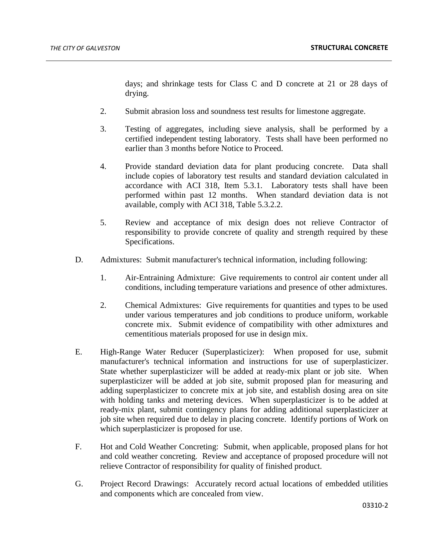days; and shrinkage tests for Class C and D concrete at 21 or 28 days of drying.

- 2. Submit abrasion loss and soundness test results for limestone aggregate.
- 3. Testing of aggregates, including sieve analysis, shall be performed by a certified independent testing laboratory. Tests shall have been performed no earlier than 3 months before Notice to Proceed.
- 4. Provide standard deviation data for plant producing concrete. Data shall include copies of laboratory test results and standard deviation calculated in accordance with ACI 318, Item 5.3.1. Laboratory tests shall have been performed within past 12 months. When standard deviation data is not available, comply with ACI 318, Table 5.3.2.2.
- 5. Review and acceptance of mix design does not relieve Contractor of responsibility to provide concrete of quality and strength required by these Specifications.
- D. Admixtures: Submit manufacturer's technical information, including following:
	- 1. Air-Entraining Admixture: Give requirements to control air content under all conditions, including temperature variations and presence of other admixtures.
	- 2. Chemical Admixtures: Give requirements for quantities and types to be used under various temperatures and job conditions to produce uniform, workable concrete mix. Submit evidence of compatibility with other admixtures and cementitious materials proposed for use in design mix.
- E. High-Range Water Reducer (Superplasticizer): When proposed for use, submit manufacturer's technical information and instructions for use of superplasticizer. State whether superplasticizer will be added at ready-mix plant or job site. When superplasticizer will be added at job site, submit proposed plan for measuring and adding superplasticizer to concrete mix at job site, and establish dosing area on site with holding tanks and metering devices. When superplasticizer is to be added at ready-mix plant, submit contingency plans for adding additional superplasticizer at job site when required due to delay in placing concrete. Identify portions of Work on which superplasticizer is proposed for use.
- F. Hot and Cold Weather Concreting: Submit, when applicable, proposed plans for hot and cold weather concreting. Review and acceptance of proposed procedure will not relieve Contractor of responsibility for quality of finished product.
- G. Project Record Drawings: Accurately record actual locations of embedded utilities and components which are concealed from view.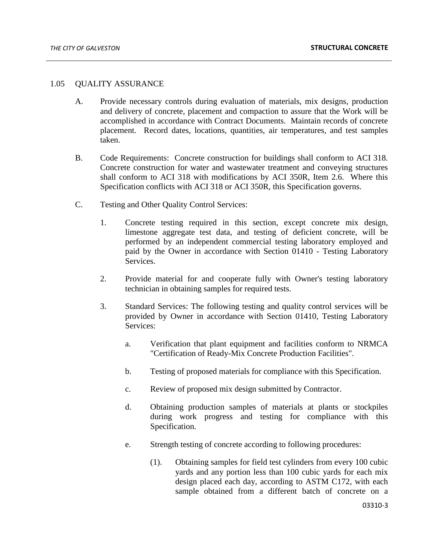## 1.05 QUALITY ASSURANCE

- A. Provide necessary controls during evaluation of materials, mix designs, production and delivery of concrete, placement and compaction to assure that the Work will be accomplished in accordance with Contract Documents. Maintain records of concrete placement. Record dates, locations, quantities, air temperatures, and test samples taken.
- B. Code Requirements: Concrete construction for buildings shall conform to ACI 318. Concrete construction for water and wastewater treatment and conveying structures shall conform to ACI 318 with modifications by ACI 350R, Item 2.6. Where this Specification conflicts with ACI 318 or ACI 350R, this Specification governs.
- C. Testing and Other Quality Control Services:
	- 1. Concrete testing required in this section, except concrete mix design, limestone aggregate test data, and testing of deficient concrete, will be performed by an independent commercial testing laboratory employed and paid by the Owner in accordance with Section 01410 - Testing Laboratory Services.
	- 2. Provide material for and cooperate fully with Owner's testing laboratory technician in obtaining samples for required tests.
	- 3. Standard Services: The following testing and quality control services will be provided by Owner in accordance with Section 01410, Testing Laboratory Services:
		- a. Verification that plant equipment and facilities conform to NRMCA "Certification of Ready-Mix Concrete Production Facilities".
		- b. Testing of proposed materials for compliance with this Specification.
		- c. Review of proposed mix design submitted by Contractor.
		- d. Obtaining production samples of materials at plants or stockpiles during work progress and testing for compliance with this Specification.
		- e. Strength testing of concrete according to following procedures:
			- (1). Obtaining samples for field test cylinders from every 100 cubic yards and any portion less than 100 cubic yards for each mix design placed each day, according to ASTM C172, with each sample obtained from a different batch of concrete on a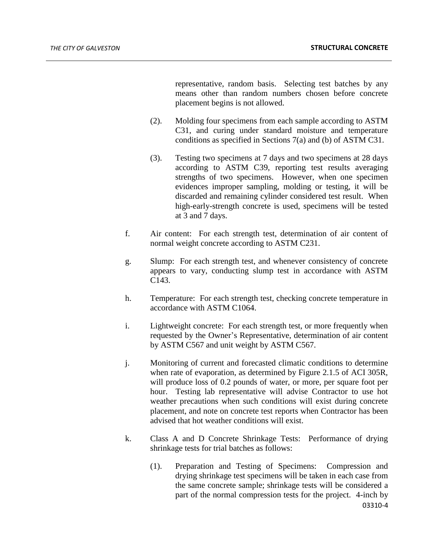representative, random basis. Selecting test batches by any means other than random numbers chosen before concrete placement begins is not allowed.

- (2). Molding four specimens from each sample according to ASTM C31, and curing under standard moisture and temperature conditions as specified in Sections 7(a) and (b) of ASTM C31.
- (3). Testing two specimens at 7 days and two specimens at 28 days according to ASTM C39, reporting test results averaging strengths of two specimens. However, when one specimen evidences improper sampling, molding or testing, it will be discarded and remaining cylinder considered test result. When high-early-strength concrete is used, specimens will be tested at 3 and 7 days.
- f. Air content: For each strength test, determination of air content of normal weight concrete according to ASTM C231.
- g. Slump: For each strength test, and whenever consistency of concrete appears to vary, conducting slump test in accordance with ASTM C143.
- h. Temperature: For each strength test, checking concrete temperature in accordance with ASTM C1064.
- i. Lightweight concrete: For each strength test, or more frequently when requested by the Owner's Representative, determination of air content by ASTM C567 and unit weight by ASTM C567.
- j. Monitoring of current and forecasted climatic conditions to determine when rate of evaporation, as determined by Figure 2.1.5 of ACI 305R, will produce loss of 0.2 pounds of water, or more, per square foot per hour. Testing lab representative will advise Contractor to use hot weather precautions when such conditions will exist during concrete placement, and note on concrete test reports when Contractor has been advised that hot weather conditions will exist.
- k. Class A and D Concrete Shrinkage Tests: Performance of drying shrinkage tests for trial batches as follows:
	- 03310-4 (1). Preparation and Testing of Specimens: Compression and drying shrinkage test specimens will be taken in each case from the same concrete sample; shrinkage tests will be considered a part of the normal compression tests for the project. 4-inch by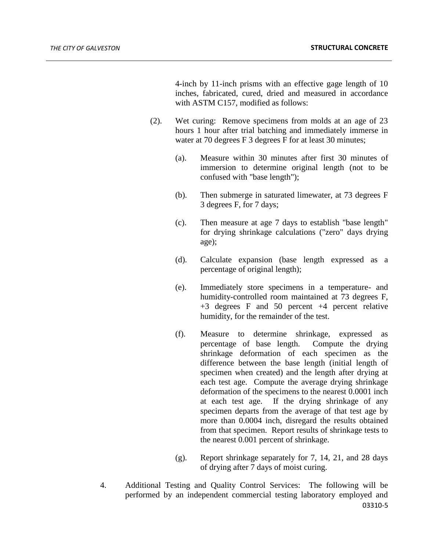4-inch by 11-inch prisms with an effective gage length of 10 inches, fabricated, cured, dried and measured in accordance with ASTM C157, modified as follows:

- (2). Wet curing: Remove specimens from molds at an age of 23 hours 1 hour after trial batching and immediately immerse in water at 70 degrees F 3 degrees F for at least 30 minutes;
	- (a). Measure within 30 minutes after first 30 minutes of immersion to determine original length (not to be confused with "base length");
	- (b). Then submerge in saturated limewater, at 73 degrees F 3 degrees F, for 7 days;
	- (c). Then measure at age 7 days to establish "base length" for drying shrinkage calculations ("zero" days drying age);
	- (d). Calculate expansion (base length expressed as a percentage of original length);
	- (e). Immediately store specimens in a temperature- and humidity-controlled room maintained at 73 degrees F, +3 degrees F and 50 percent +4 percent relative humidity, for the remainder of the test.
	- (f). Measure to determine shrinkage, expressed as percentage of base length. Compute the drying shrinkage deformation of each specimen as the difference between the base length (initial length of specimen when created) and the length after drying at each test age. Compute the average drying shrinkage deformation of the specimens to the nearest 0.0001 inch at each test age. If the drying shrinkage of any specimen departs from the average of that test age by more than 0.0004 inch, disregard the results obtained from that specimen. Report results of shrinkage tests to the nearest 0.001 percent of shrinkage.
	- (g). Report shrinkage separately for 7, 14, 21, and 28 days of drying after 7 days of moist curing.
- 03310-5 4. Additional Testing and Quality Control Services: The following will be performed by an independent commercial testing laboratory employed and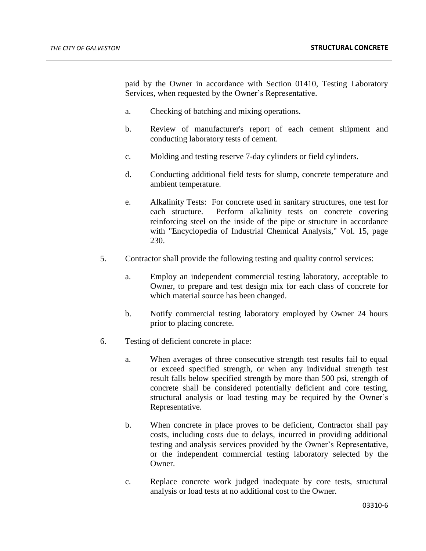paid by the Owner in accordance with Section 01410, Testing Laboratory Services, when requested by the Owner's Representative.

- a. Checking of batching and mixing operations.
- b. Review of manufacturer's report of each cement shipment and conducting laboratory tests of cement.
- c. Molding and testing reserve 7-day cylinders or field cylinders.
- d. Conducting additional field tests for slump, concrete temperature and ambient temperature.
- e. Alkalinity Tests: For concrete used in sanitary structures, one test for each structure. Perform alkalinity tests on concrete covering reinforcing steel on the inside of the pipe or structure in accordance with "Encyclopedia of Industrial Chemical Analysis," Vol. 15, page 230.
- 5. Contractor shall provide the following testing and quality control services:
	- a. Employ an independent commercial testing laboratory, acceptable to Owner, to prepare and test design mix for each class of concrete for which material source has been changed.
	- b. Notify commercial testing laboratory employed by Owner 24 hours prior to placing concrete.
- 6. Testing of deficient concrete in place:
	- a. When averages of three consecutive strength test results fail to equal or exceed specified strength, or when any individual strength test result falls below specified strength by more than 500 psi, strength of concrete shall be considered potentially deficient and core testing, structural analysis or load testing may be required by the Owner's Representative.
	- b. When concrete in place proves to be deficient, Contractor shall pay costs, including costs due to delays, incurred in providing additional testing and analysis services provided by the Owner's Representative, or the independent commercial testing laboratory selected by the Owner.
	- c. Replace concrete work judged inadequate by core tests, structural analysis or load tests at no additional cost to the Owner.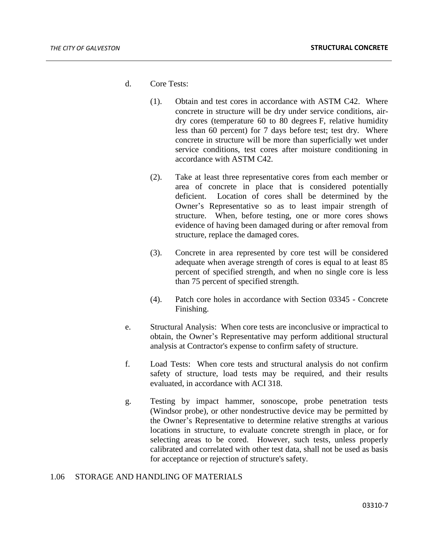- d. Core Tests:
	- (1). Obtain and test cores in accordance with ASTM C42. Where concrete in structure will be dry under service conditions, airdry cores (temperature 60 to 80 degrees F, relative humidity less than 60 percent) for 7 days before test; test dry. Where concrete in structure will be more than superficially wet under service conditions, test cores after moisture conditioning in accordance with ASTM C42.
	- (2). Take at least three representative cores from each member or area of concrete in place that is considered potentially deficient. Location of cores shall be determined by the Owner's Representative so as to least impair strength of structure. When, before testing, one or more cores shows evidence of having been damaged during or after removal from structure, replace the damaged cores.
	- (3). Concrete in area represented by core test will be considered adequate when average strength of cores is equal to at least 85 percent of specified strength, and when no single core is less than 75 percent of specified strength.
	- (4). Patch core holes in accordance with Section 03345 Concrete Finishing.
- e. Structural Analysis: When core tests are inconclusive or impractical to obtain, the Owner's Representative may perform additional structural analysis at Contractor's expense to confirm safety of structure.
- f. Load Tests: When core tests and structural analysis do not confirm safety of structure, load tests may be required, and their results evaluated, in accordance with ACI 318.
- g. Testing by impact hammer, sonoscope, probe penetration tests (Windsor probe), or other nondestructive device may be permitted by the Owner's Representative to determine relative strengths at various locations in structure, to evaluate concrete strength in place, or for selecting areas to be cored. However, such tests, unless properly calibrated and correlated with other test data, shall not be used as basis for acceptance or rejection of structure's safety.

## 1.06 STORAGE AND HANDLING OF MATERIALS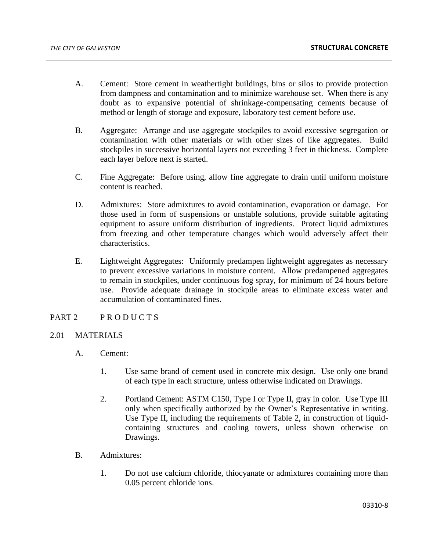- A. Cement: Store cement in weathertight buildings, bins or silos to provide protection from dampness and contamination and to minimize warehouse set. When there is any doubt as to expansive potential of shrinkage-compensating cements because of method or length of storage and exposure, laboratory test cement before use.
- B. Aggregate: Arrange and use aggregate stockpiles to avoid excessive segregation or contamination with other materials or with other sizes of like aggregates. Build stockpiles in successive horizontal layers not exceeding 3 feet in thickness. Complete each layer before next is started.
- C. Fine Aggregate: Before using, allow fine aggregate to drain until uniform moisture content is reached.
- D. Admixtures: Store admixtures to avoid contamination, evaporation or damage. For those used in form of suspensions or unstable solutions, provide suitable agitating equipment to assure uniform distribution of ingredients. Protect liquid admixtures from freezing and other temperature changes which would adversely affect their characteristics.
- E. Lightweight Aggregates: Uniformly predampen lightweight aggregates as necessary to prevent excessive variations in moisture content. Allow predampened aggregates to remain in stockpiles, under continuous fog spray, for minimum of 24 hours before use. Provide adequate drainage in stockpile areas to eliminate excess water and accumulation of contaminated fines.
- PART 2 PRODUCTS

## 2.01 MATERIALS

- A. Cement:
	- 1. Use same brand of cement used in concrete mix design. Use only one brand of each type in each structure, unless otherwise indicated on Drawings.
	- 2. Portland Cement: ASTM C150, Type I or Type II, gray in color. Use Type III only when specifically authorized by the Owner's Representative in writing. Use Type II, including the requirements of Table 2, in construction of liquidcontaining structures and cooling towers, unless shown otherwise on Drawings.
- B. Admixtures:
	- 1. Do not use calcium chloride, thiocyanate or admixtures containing more than 0.05 percent chloride ions.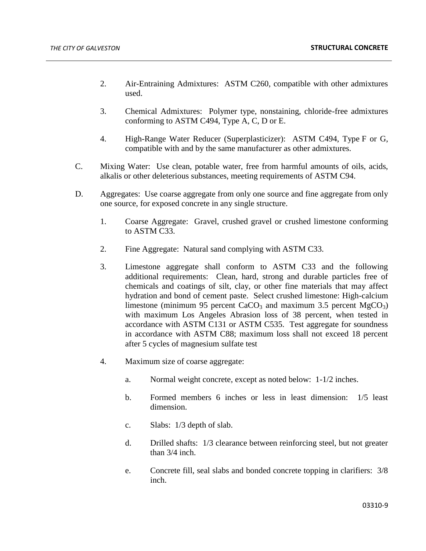- 2. Air-Entraining Admixtures: ASTM C260, compatible with other admixtures used.
- 3. Chemical Admixtures: Polymer type, nonstaining, chloride-free admixtures conforming to ASTM C494, Type A, C, D or E.
- 4. High-Range Water Reducer (Superplasticizer): ASTM C494, Type F or G, compatible with and by the same manufacturer as other admixtures.
- C. Mixing Water: Use clean, potable water, free from harmful amounts of oils, acids, alkalis or other deleterious substances, meeting requirements of ASTM C94.
- D. Aggregates: Use coarse aggregate from only one source and fine aggregate from only one source, for exposed concrete in any single structure.
	- 1. Coarse Aggregate: Gravel, crushed gravel or crushed limestone conforming to ASTM C33.
	- 2. Fine Aggregate: Natural sand complying with ASTM C33.
	- 3. Limestone aggregate shall conform to ASTM C33 and the following additional requirements: Clean, hard, strong and durable particles free of chemicals and coatings of silt, clay, or other fine materials that may affect hydration and bond of cement paste. Select crushed limestone: High-calcium limestone (minimum 95 percent  $CaCO<sub>3</sub>$  and maximum 3.5 percent  $MgCO<sub>3</sub>$ ) with maximum Los Angeles Abrasion loss of 38 percent, when tested in accordance with ASTM C131 or ASTM C535. Test aggregate for soundness in accordance with ASTM C88; maximum loss shall not exceed 18 percent after 5 cycles of magnesium sulfate test
	- 4. Maximum size of coarse aggregate:
		- a. Normal weight concrete, except as noted below: 1-1/2 inches.
		- b. Formed members 6 inches or less in least dimension: 1/5 least dimension.
		- c. Slabs: 1/3 depth of slab.
		- d. Drilled shafts: 1/3 clearance between reinforcing steel, but not greater than 3/4 inch.
		- e. Concrete fill, seal slabs and bonded concrete topping in clarifiers: 3/8 inch.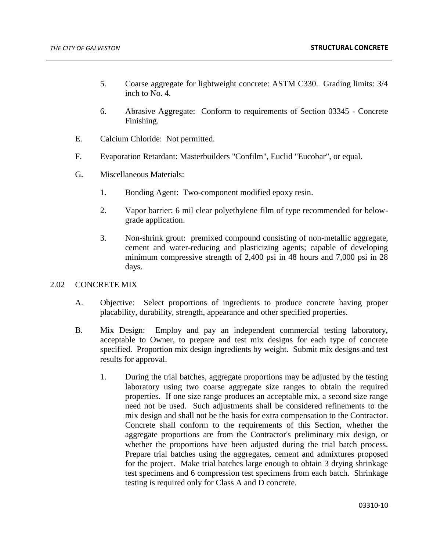- 5. Coarse aggregate for lightweight concrete: ASTM C330. Grading limits: 3/4 inch to No. 4.
- 6. Abrasive Aggregate: Conform to requirements of Section 03345 Concrete Finishing.
- E. Calcium Chloride: Not permitted.
- F. Evaporation Retardant: Masterbuilders "Confilm", Euclid "Eucobar", or equal.
- G. Miscellaneous Materials:
	- 1. Bonding Agent: Two-component modified epoxy resin.
	- 2. Vapor barrier: 6 mil clear polyethylene film of type recommended for belowgrade application.
	- 3. Non-shrink grout: premixed compound consisting of non-metallic aggregate, cement and water-reducing and plasticizing agents; capable of developing minimum compressive strength of 2,400 psi in 48 hours and 7,000 psi in 28 days.

# 2.02 CONCRETE MIX

- A. Objective: Select proportions of ingredients to produce concrete having proper placability, durability, strength, appearance and other specified properties.
- B. Mix Design: Employ and pay an independent commercial testing laboratory, acceptable to Owner, to prepare and test mix designs for each type of concrete specified. Proportion mix design ingredients by weight. Submit mix designs and test results for approval.
	- 1. During the trial batches, aggregate proportions may be adjusted by the testing laboratory using two coarse aggregate size ranges to obtain the required properties. If one size range produces an acceptable mix, a second size range need not be used. Such adjustments shall be considered refinements to the mix design and shall not be the basis for extra compensation to the Contractor. Concrete shall conform to the requirements of this Section, whether the aggregate proportions are from the Contractor's preliminary mix design, or whether the proportions have been adjusted during the trial batch process. Prepare trial batches using the aggregates, cement and admixtures proposed for the project. Make trial batches large enough to obtain 3 drying shrinkage test specimens and 6 compression test specimens from each batch. Shrinkage testing is required only for Class A and D concrete.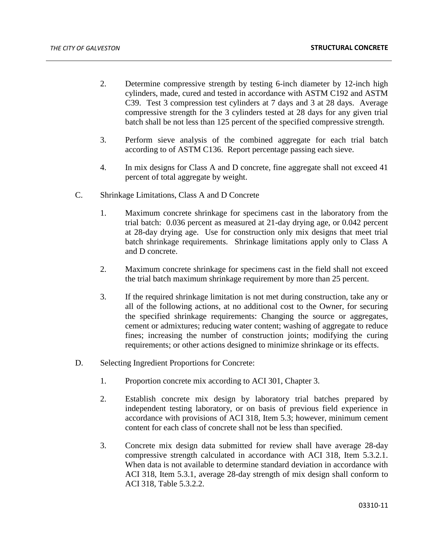- 2. Determine compressive strength by testing 6-inch diameter by 12-inch high cylinders, made, cured and tested in accordance with ASTM C192 and ASTM C39. Test 3 compression test cylinders at 7 days and 3 at 28 days. Average compressive strength for the 3 cylinders tested at 28 days for any given trial batch shall be not less than 125 percent of the specified compressive strength.
- 3. Perform sieve analysis of the combined aggregate for each trial batch according to of ASTM C136. Report percentage passing each sieve.
- 4. In mix designs for Class A and D concrete, fine aggregate shall not exceed 41 percent of total aggregate by weight.
- C. Shrinkage Limitations, Class A and D Concrete
	- 1. Maximum concrete shrinkage for specimens cast in the laboratory from the trial batch: 0.036 percent as measured at 21-day drying age, or 0.042 percent at 28-day drying age. Use for construction only mix designs that meet trial batch shrinkage requirements. Shrinkage limitations apply only to Class A and D concrete.
	- 2. Maximum concrete shrinkage for specimens cast in the field shall not exceed the trial batch maximum shrinkage requirement by more than 25 percent.
	- 3. If the required shrinkage limitation is not met during construction, take any or all of the following actions, at no additional cost to the Owner, for securing the specified shrinkage requirements: Changing the source or aggregates, cement or admixtures; reducing water content; washing of aggregate to reduce fines; increasing the number of construction joints; modifying the curing requirements; or other actions designed to minimize shrinkage or its effects.
- D. Selecting Ingredient Proportions for Concrete:
	- 1. Proportion concrete mix according to ACI 301, Chapter 3.
	- 2. Establish concrete mix design by laboratory trial batches prepared by independent testing laboratory, or on basis of previous field experience in accordance with provisions of ACI 318, Item 5.3; however, minimum cement content for each class of concrete shall not be less than specified.
	- 3. Concrete mix design data submitted for review shall have average 28-day compressive strength calculated in accordance with ACI 318, Item 5.3.2.1. When data is not available to determine standard deviation in accordance with ACI 318, Item 5.3.1, average 28-day strength of mix design shall conform to ACI 318, Table 5.3.2.2.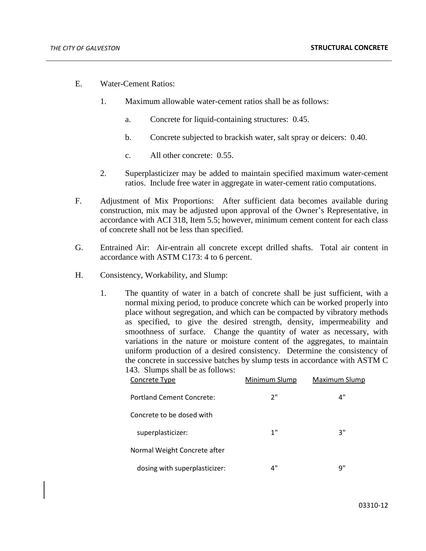- E. Water-Cement Ratios:
	- 1. Maximum allowable water-cement ratios shall be as follows:
		- a. Concrete for liquid-containing structures: 0.45.
		- b. Concrete subjected to brackish water, salt spray or deicers: 0.40.
		- c. All other concrete: 0.55.
	- 2. Superplasticizer may be added to maintain specified maximum water-cement ratios. Include free water in aggregate in water-cement ratio computations.
- F. Adjustment of Mix Proportions: After sufficient data becomes available during construction, mix may be adjusted upon approval of the Owner's Representative, in accordance with ACI 318, Item 5.5; however, minimum cement content for each class of concrete shall not be less than specified.
- G. Entrained Air: Air-entrain all concrete except drilled shafts. Total air content in accordance with ASTM C173: 4 to 6 percent.
- H. Consistency, Workability, and Slump:
	- 1. The quantity of water in a batch of concrete shall be just sufficient, with a normal mixing period, to produce concrete which can be worked properly into place without segregation, and which can be compacted by vibratory methods as specified, to give the desired strength, density, impermeability and smoothness of surface. Change the quantity of water as necessary, with variations in the nature or moisture content of the aggregates, to maintain uniform production of a desired consistency. Determine the consistency of the concrete in successive batches by slump tests in accordance with ASTM C 143. Slumps shall be as follows:

| Concrete Type                 | Minimum Slump | Maximum Slump |
|-------------------------------|---------------|---------------|
| Portland Cement Concrete:     | ን"            | 4"            |
| Concrete to be dosed with     |               |               |
| superplasticizer:             | 1"            | 3"            |
| Normal Weight Concrete after  |               |               |
| dosing with superplasticizer: | 4"            | 9"            |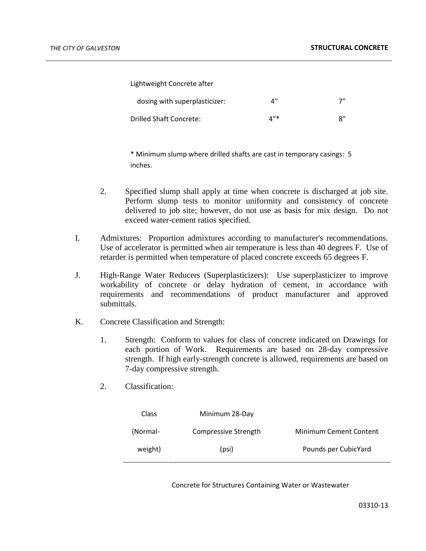Lightweight Concrete after

| dosing with superplasticizer: | ⊿" | 7"                         |
|-------------------------------|----|----------------------------|
| Drilled Shaft Concrete:       | 4" | $\mathsf{R}^{\mathsf{II}}$ |

\* Minimum slump where drilled shafts are cast in temporary casings: 5 inches.

- 2. Specified slump shall apply at time when concrete is discharged at job site. Perform slump tests to monitor uniformity and consistency of concrete delivered to job site; however, do not use as basis for mix design. Do not exceed water-cement ratios specified.
- I. Admixtures: Proportion admixtures according to manufacturer's recommendations. Use of accelerator is permitted when air temperature is less than 40 degrees F. Use of retarder is permitted when temperature of placed concrete exceeds 65 degrees F.
- J. High-Range Water Reducers (Superplasticizers): Use superplasticizer to improve workability of concrete or delay hydration of cement, in accordance with requirements and recommendations of product manufacturer and approved submittals.
- K. Concrete Classification and Strength:
	- 1. Strength: Conform to values for class of concrete indicated on Drawings for each portion of Work. Requirements are based on 28-day compressive strength. If high early-strength concrete is allowed, requirements are based on 7-day compressive strength.
	- 2. Classification:

| Class    | Minimum 28-Day       |                               |
|----------|----------------------|-------------------------------|
| (Normal- | Compressive Strength | <b>Minimum Cement Content</b> |
| weight)  | (psi)                | Pounds per CubicYard          |

Concrete for Structures Containing Water or Wastewater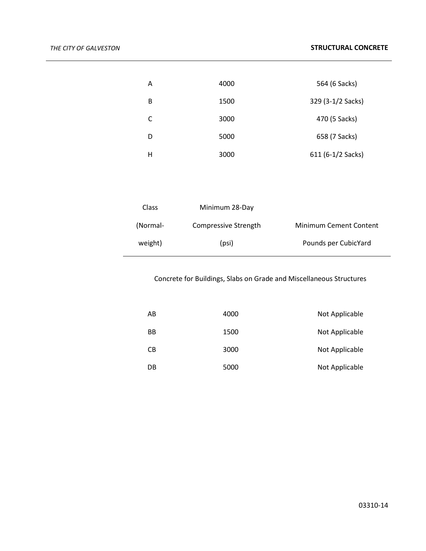| Α | 4000 | 564 (6 Sacks)     |
|---|------|-------------------|
| B | 1500 | 329 (3-1/2 Sacks) |
| C | 3000 | 470 (5 Sacks)     |
| D | 5000 | 658 (7 Sacks)     |
| Н | 3000 | 611 (6-1/2 Sacks) |

| <b>Class</b> | Minimum 28-Day              |                               |
|--------------|-----------------------------|-------------------------------|
| (Normal-     | <b>Compressive Strength</b> | <b>Minimum Cement Content</b> |
| weight)      | (psi)                       | Pounds per CubicYard          |

# Concrete for Buildings, Slabs on Grade and Miscellaneous Structures

| AB | 4000 | Not Applicable |
|----|------|----------------|
| BB | 1500 | Not Applicable |
| CB | 3000 | Not Applicable |
| DB | 5000 | Not Applicable |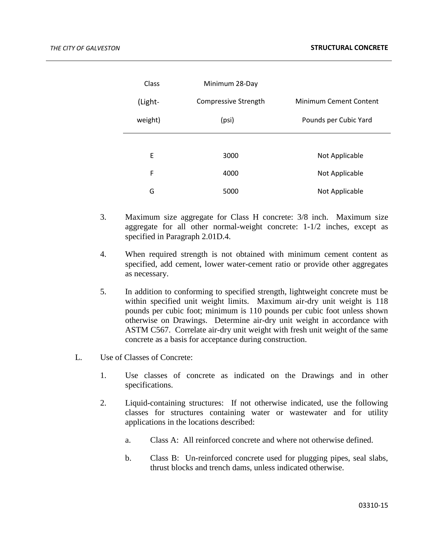| Class   | Minimum 28-Day       |                               |
|---------|----------------------|-------------------------------|
| (Light- | Compressive Strength | <b>Minimum Cement Content</b> |
| weight) | (psi)                | Pounds per Cubic Yard         |
|         |                      |                               |
| F       | 3000                 | Not Applicable                |
| F       | 4000                 | Not Applicable                |
| G       | 5000                 | Not Applicable                |

- 3. Maximum size aggregate for Class H concrete: 3/8 inch. Maximum size aggregate for all other normal-weight concrete: 1-1/2 inches, except as specified in Paragraph 2.01D.4.
- 4. When required strength is not obtained with minimum cement content as specified, add cement, lower water-cement ratio or provide other aggregates as necessary.
- 5. In addition to conforming to specified strength, lightweight concrete must be within specified unit weight limits. Maximum air-dry unit weight is 118 pounds per cubic foot; minimum is 110 pounds per cubic foot unless shown otherwise on Drawings. Determine air-dry unit weight in accordance with ASTM C567. Correlate air-dry unit weight with fresh unit weight of the same concrete as a basis for acceptance during construction.
- L. Use of Classes of Concrete:
	- 1. Use classes of concrete as indicated on the Drawings and in other specifications.
	- 2. Liquid-containing structures: If not otherwise indicated, use the following classes for structures containing water or wastewater and for utility applications in the locations described:
		- a. Class A: All reinforced concrete and where not otherwise defined.
		- b. Class B: Un-reinforced concrete used for plugging pipes, seal slabs, thrust blocks and trench dams, unless indicated otherwise.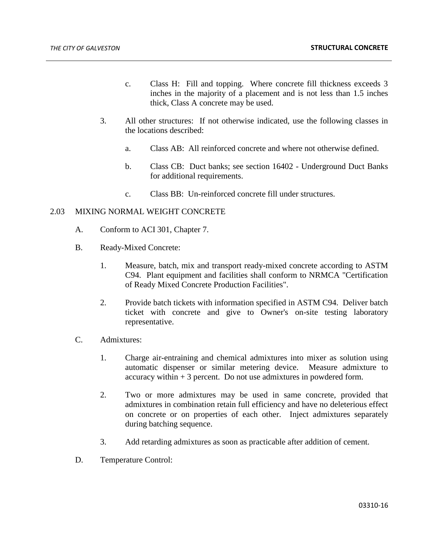- c. Class H: Fill and topping. Where concrete fill thickness exceeds 3 inches in the majority of a placement and is not less than 1.5 inches thick, Class A concrete may be used.
- 3. All other structures: If not otherwise indicated, use the following classes in the locations described:
	- a. Class AB: All reinforced concrete and where not otherwise defined.
	- b. Class CB: Duct banks; see section 16402 Underground Duct Banks for additional requirements.
	- c. Class BB: Un-reinforced concrete fill under structures.

## 2.03 MIXING NORMAL WEIGHT CONCRETE

- A. Conform to ACI 301, Chapter 7.
- B. Ready-Mixed Concrete:
	- 1. Measure, batch, mix and transport ready-mixed concrete according to ASTM C94. Plant equipment and facilities shall conform to NRMCA "Certification of Ready Mixed Concrete Production Facilities".
	- 2. Provide batch tickets with information specified in ASTM C94. Deliver batch ticket with concrete and give to Owner's on-site testing laboratory representative.
- C. Admixtures:
	- 1. Charge air-entraining and chemical admixtures into mixer as solution using automatic dispenser or similar metering device. Measure admixture to accuracy within  $+3$  percent. Do not use admixtures in powdered form.
	- 2. Two or more admixtures may be used in same concrete, provided that admixtures in combination retain full efficiency and have no deleterious effect on concrete or on properties of each other. Inject admixtures separately during batching sequence.
	- 3. Add retarding admixtures as soon as practicable after addition of cement.
- D. Temperature Control: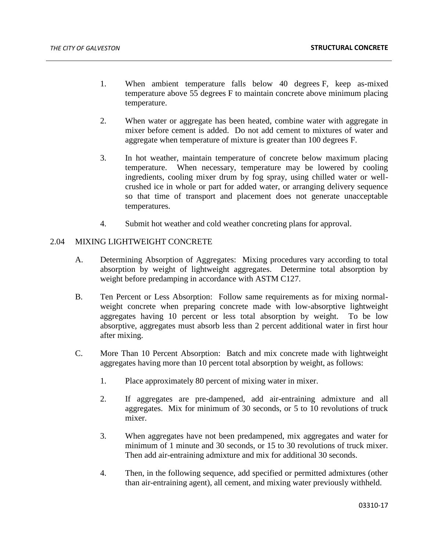- 1. When ambient temperature falls below 40 degrees F, keep as-mixed temperature above 55 degrees F to maintain concrete above minimum placing temperature.
- 2. When water or aggregate has been heated, combine water with aggregate in mixer before cement is added. Do not add cement to mixtures of water and aggregate when temperature of mixture is greater than 100 degrees F.
- 3. In hot weather, maintain temperature of concrete below maximum placing temperature. When necessary, temperature may be lowered by cooling ingredients, cooling mixer drum by fog spray, using chilled water or wellcrushed ice in whole or part for added water, or arranging delivery sequence so that time of transport and placement does not generate unacceptable temperatures.
- 4. Submit hot weather and cold weather concreting plans for approval.

## 2.04 MIXING LIGHTWEIGHT CONCRETE

- A. Determining Absorption of Aggregates: Mixing procedures vary according to total absorption by weight of lightweight aggregates. Determine total absorption by weight before predamping in accordance with ASTM C127.
- B. Ten Percent or Less Absorption: Follow same requirements as for mixing normalweight concrete when preparing concrete made with low-absorptive lightweight aggregates having 10 percent or less total absorption by weight. To be low absorptive, aggregates must absorb less than 2 percent additional water in first hour after mixing.
- C. More Than 10 Percent Absorption: Batch and mix concrete made with lightweight aggregates having more than 10 percent total absorption by weight, as follows:
	- 1. Place approximately 80 percent of mixing water in mixer.
	- 2. If aggregates are pre-dampened, add air-entraining admixture and all aggregates. Mix for minimum of 30 seconds, or 5 to 10 revolutions of truck mixer.
	- 3. When aggregates have not been predampened, mix aggregates and water for minimum of 1 minute and 30 seconds, or 15 to 30 revolutions of truck mixer. Then add air-entraining admixture and mix for additional 30 seconds.
	- 4. Then, in the following sequence, add specified or permitted admixtures (other than air-entraining agent), all cement, and mixing water previously withheld.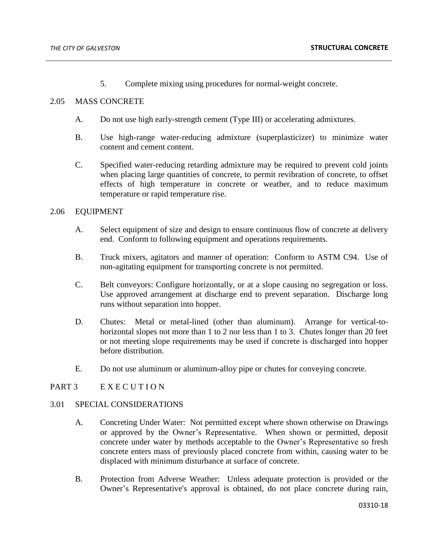5. Complete mixing using procedures for normal-weight concrete.

## 2.05 MASS CONCRETE

- A. Do not use high early-strength cement (Type III) or accelerating admixtures.
- B. Use high-range water-reducing admixture (superplasticizer) to minimize water content and cement content.
- C. Specified water-reducing retarding admixture may be required to prevent cold joints when placing large quantities of concrete, to permit revibration of concrete, to offset effects of high temperature in concrete or weather, and to reduce maximum temperature or rapid temperature rise.

## 2.06 EQUIPMENT

- A. Select equipment of size and design to ensure continuous flow of concrete at delivery end. Conform to following equipment and operations requirements.
- B. Truck mixers, agitators and manner of operation: Conform to ASTM C94. Use of non-agitating equipment for transporting concrete is not permitted.
- C. Belt conveyors: Configure horizontally, or at a slope causing no segregation or loss. Use approved arrangement at discharge end to prevent separation. Discharge long runs without separation into hopper.
- D. Chutes: Metal or metal-lined (other than aluminum). Arrange for vertical-tohorizontal slopes not more than 1 to 2 nor less than 1 to 3. Chutes longer than 20 feet or not meeting slope requirements may be used if concrete is discharged into hopper before distribution.
- E. Do not use aluminum or aluminum-alloy pipe or chutes for conveying concrete.

# PART 3 E X E C U T I O N

## 3.01 SPECIAL CONSIDERATIONS

- A. Concreting Under Water: Not permitted except where shown otherwise on Drawings or approved by the Owner's Representative. When shown or permitted, deposit concrete under water by methods acceptable to the Owner's Representative so fresh concrete enters mass of previously placed concrete from within, causing water to be displaced with minimum disturbance at surface of concrete.
- B. Protection from Adverse Weather: Unless adequate protection is provided or the Owner's Representative's approval is obtained, do not place concrete during rain,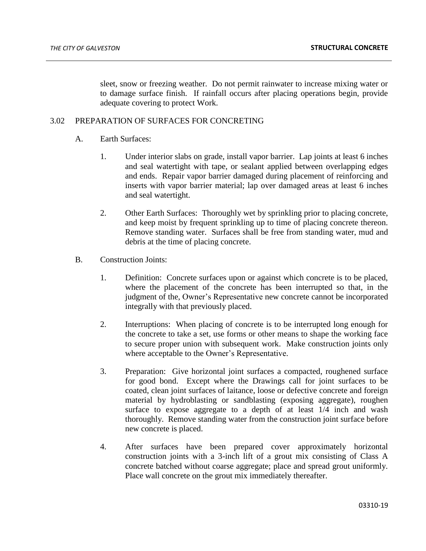sleet, snow or freezing weather. Do not permit rainwater to increase mixing water or to damage surface finish. If rainfall occurs after placing operations begin, provide adequate covering to protect Work.

# 3.02 PREPARATION OF SURFACES FOR CONCRETING

- A. Earth Surfaces:
	- 1. Under interior slabs on grade, install vapor barrier. Lap joints at least 6 inches and seal watertight with tape, or sealant applied between overlapping edges and ends. Repair vapor barrier damaged during placement of reinforcing and inserts with vapor barrier material; lap over damaged areas at least 6 inches and seal watertight.
	- 2. Other Earth Surfaces: Thoroughly wet by sprinkling prior to placing concrete, and keep moist by frequent sprinkling up to time of placing concrete thereon. Remove standing water. Surfaces shall be free from standing water, mud and debris at the time of placing concrete.
- B. Construction Joints:
	- 1. Definition: Concrete surfaces upon or against which concrete is to be placed, where the placement of the concrete has been interrupted so that, in the judgment of the, Owner's Representative new concrete cannot be incorporated integrally with that previously placed.
	- 2. Interruptions: When placing of concrete is to be interrupted long enough for the concrete to take a set, use forms or other means to shape the working face to secure proper union with subsequent work. Make construction joints only where acceptable to the Owner's Representative.
	- 3. Preparation: Give horizontal joint surfaces a compacted, roughened surface for good bond. Except where the Drawings call for joint surfaces to be coated, clean joint surfaces of laitance, loose or defective concrete and foreign material by hydroblasting or sandblasting (exposing aggregate), roughen surface to expose aggregate to a depth of at least  $1/4$  inch and wash thoroughly. Remove standing water from the construction joint surface before new concrete is placed.
	- 4. After surfaces have been prepared cover approximately horizontal construction joints with a 3-inch lift of a grout mix consisting of Class A concrete batched without coarse aggregate; place and spread grout uniformly. Place wall concrete on the grout mix immediately thereafter.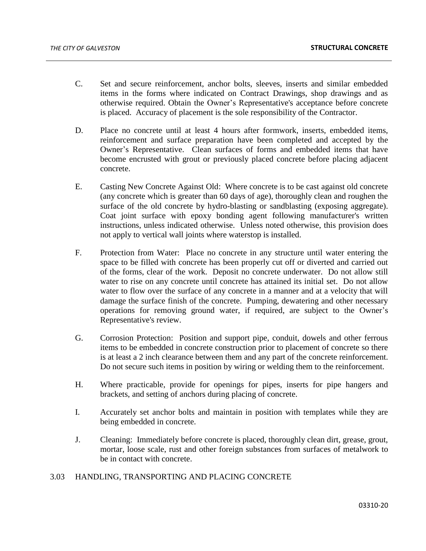- C. Set and secure reinforcement, anchor bolts, sleeves, inserts and similar embedded items in the forms where indicated on Contract Drawings, shop drawings and as otherwise required. Obtain the Owner's Representative's acceptance before concrete is placed. Accuracy of placement is the sole responsibility of the Contractor.
- D. Place no concrete until at least 4 hours after formwork, inserts, embedded items, reinforcement and surface preparation have been completed and accepted by the Owner's Representative. Clean surfaces of forms and embedded items that have become encrusted with grout or previously placed concrete before placing adjacent concrete.
- E. Casting New Concrete Against Old: Where concrete is to be cast against old concrete (any concrete which is greater than 60 days of age), thoroughly clean and roughen the surface of the old concrete by hydro-blasting or sandblasting (exposing aggregate). Coat joint surface with epoxy bonding agent following manufacturer's written instructions, unless indicated otherwise. Unless noted otherwise, this provision does not apply to vertical wall joints where waterstop is installed.
- F. Protection from Water: Place no concrete in any structure until water entering the space to be filled with concrete has been properly cut off or diverted and carried out of the forms, clear of the work. Deposit no concrete underwater. Do not allow still water to rise on any concrete until concrete has attained its initial set. Do not allow water to flow over the surface of any concrete in a manner and at a velocity that will damage the surface finish of the concrete. Pumping, dewatering and other necessary operations for removing ground water, if required, are subject to the Owner's Representative's review.
- G. Corrosion Protection: Position and support pipe, conduit, dowels and other ferrous items to be embedded in concrete construction prior to placement of concrete so there is at least a 2 inch clearance between them and any part of the concrete reinforcement. Do not secure such items in position by wiring or welding them to the reinforcement.
- H. Where practicable, provide for openings for pipes, inserts for pipe hangers and brackets, and setting of anchors during placing of concrete.
- I. Accurately set anchor bolts and maintain in position with templates while they are being embedded in concrete.
- J. Cleaning: Immediately before concrete is placed, thoroughly clean dirt, grease, grout, mortar, loose scale, rust and other foreign substances from surfaces of metalwork to be in contact with concrete.

# 3.03 HANDLING, TRANSPORTING AND PLACING CONCRETE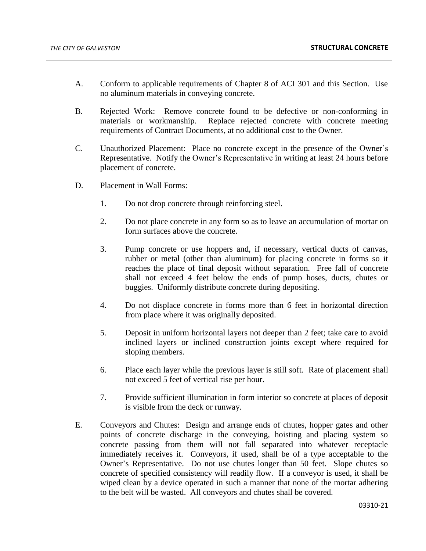- A. Conform to applicable requirements of Chapter 8 of ACI 301 and this Section. Use no aluminum materials in conveying concrete.
- B. Rejected Work: Remove concrete found to be defective or non-conforming in materials or workmanship. Replace rejected concrete with concrete meeting requirements of Contract Documents, at no additional cost to the Owner.
- C. Unauthorized Placement: Place no concrete except in the presence of the Owner's Representative. Notify the Owner's Representative in writing at least 24 hours before placement of concrete.
- D. Placement in Wall Forms:
	- 1. Do not drop concrete through reinforcing steel.
	- 2. Do not place concrete in any form so as to leave an accumulation of mortar on form surfaces above the concrete.
	- 3. Pump concrete or use hoppers and, if necessary, vertical ducts of canvas, rubber or metal (other than aluminum) for placing concrete in forms so it reaches the place of final deposit without separation. Free fall of concrete shall not exceed 4 feet below the ends of pump hoses, ducts, chutes or buggies. Uniformly distribute concrete during depositing.
	- 4. Do not displace concrete in forms more than 6 feet in horizontal direction from place where it was originally deposited.
	- 5. Deposit in uniform horizontal layers not deeper than 2 feet; take care to avoid inclined layers or inclined construction joints except where required for sloping members.
	- 6. Place each layer while the previous layer is still soft. Rate of placement shall not exceed 5 feet of vertical rise per hour.
	- 7. Provide sufficient illumination in form interior so concrete at places of deposit is visible from the deck or runway.
- E. Conveyors and Chutes: Design and arrange ends of chutes, hopper gates and other points of concrete discharge in the conveying, hoisting and placing system so concrete passing from them will not fall separated into whatever receptacle immediately receives it. Conveyors, if used, shall be of a type acceptable to the Owner's Representative. Do not use chutes longer than 50 feet. Slope chutes so concrete of specified consistency will readily flow. If a conveyor is used, it shall be wiped clean by a device operated in such a manner that none of the mortar adhering to the belt will be wasted. All conveyors and chutes shall be covered.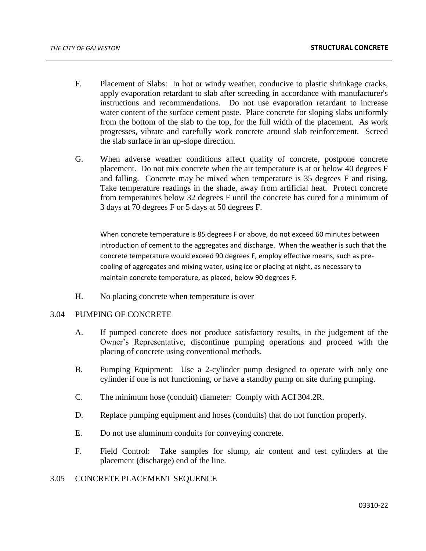- F. Placement of Slabs: In hot or windy weather, conducive to plastic shrinkage cracks, apply evaporation retardant to slab after screeding in accordance with manufacturer's instructions and recommendations. Do not use evaporation retardant to increase water content of the surface cement paste. Place concrete for sloping slabs uniformly from the bottom of the slab to the top, for the full width of the placement. As work progresses, vibrate and carefully work concrete around slab reinforcement. Screed the slab surface in an up-slope direction.
- G. When adverse weather conditions affect quality of concrete, postpone concrete placement. Do not mix concrete when the air temperature is at or below 40 degrees F and falling. Concrete may be mixed when temperature is 35 degrees F and rising. Take temperature readings in the shade, away from artificial heat. Protect concrete from temperatures below 32 degrees F until the concrete has cured for a minimum of 3 days at 70 degrees F or 5 days at 50 degrees F.

When concrete temperature is 85 degrees F or above, do not exceed 60 minutes between introduction of cement to the aggregates and discharge. When the weather is such that the concrete temperature would exceed 90 degrees F, employ effective means, such as precooling of aggregates and mixing water, using ice or placing at night, as necessary to maintain concrete temperature, as placed, below 90 degrees F.

H. No placing concrete when temperature is over

## 3.04 PUMPING OF CONCRETE

- A. If pumped concrete does not produce satisfactory results, in the judgement of the Owner's Representative, discontinue pumping operations and proceed with the placing of concrete using conventional methods.
- B. Pumping Equipment: Use a 2-cylinder pump designed to operate with only one cylinder if one is not functioning, or have a standby pump on site during pumping.
- C. The minimum hose (conduit) diameter: Comply with ACI 304.2R.
- D. Replace pumping equipment and hoses (conduits) that do not function properly.
- E. Do not use aluminum conduits for conveying concrete.
- F. Field Control: Take samples for slump, air content and test cylinders at the placement (discharge) end of the line.

# 3.05 CONCRETE PLACEMENT SEQUENCE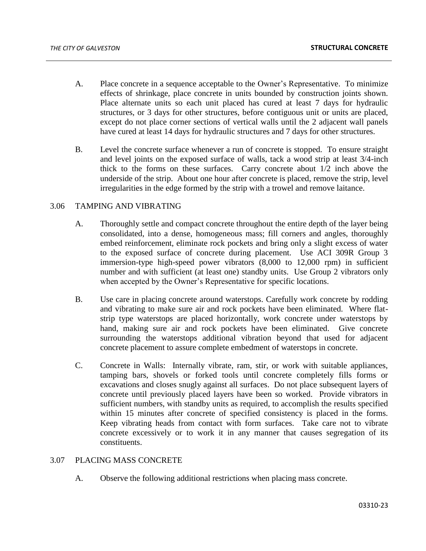- A. Place concrete in a sequence acceptable to the Owner's Representative. To minimize effects of shrinkage, place concrete in units bounded by construction joints shown. Place alternate units so each unit placed has cured at least 7 days for hydraulic structures, or 3 days for other structures, before contiguous unit or units are placed, except do not place corner sections of vertical walls until the 2 adjacent wall panels have cured at least 14 days for hydraulic structures and 7 days for other structures.
- B. Level the concrete surface whenever a run of concrete is stopped. To ensure straight and level joints on the exposed surface of walls, tack a wood strip at least 3/4-inch thick to the forms on these surfaces. Carry concrete about 1/2 inch above the underside of the strip. About one hour after concrete is placed, remove the strip, level irregularities in the edge formed by the strip with a trowel and remove laitance.

## 3.06 TAMPING AND VIBRATING

- A. Thoroughly settle and compact concrete throughout the entire depth of the layer being consolidated, into a dense, homogeneous mass; fill corners and angles, thoroughly embed reinforcement, eliminate rock pockets and bring only a slight excess of water to the exposed surface of concrete during placement. Use ACI 309R Group 3 immersion-type high-speed power vibrators (8,000 to 12,000 rpm) in sufficient number and with sufficient (at least one) standby units. Use Group 2 vibrators only when accepted by the Owner's Representative for specific locations.
- B. Use care in placing concrete around waterstops. Carefully work concrete by rodding and vibrating to make sure air and rock pockets have been eliminated. Where flatstrip type waterstops are placed horizontally, work concrete under waterstops by hand, making sure air and rock pockets have been eliminated. Give concrete surrounding the waterstops additional vibration beyond that used for adjacent concrete placement to assure complete embedment of waterstops in concrete.
- C. Concrete in Walls: Internally vibrate, ram, stir, or work with suitable appliances, tamping bars, shovels or forked tools until concrete completely fills forms or excavations and closes snugly against all surfaces. Do not place subsequent layers of concrete until previously placed layers have been so worked. Provide vibrators in sufficient numbers, with standby units as required, to accomplish the results specified within 15 minutes after concrete of specified consistency is placed in the forms. Keep vibrating heads from contact with form surfaces. Take care not to vibrate concrete excessively or to work it in any manner that causes segregation of its constituents.

# 3.07 PLACING MASS CONCRETE

A. Observe the following additional restrictions when placing mass concrete.